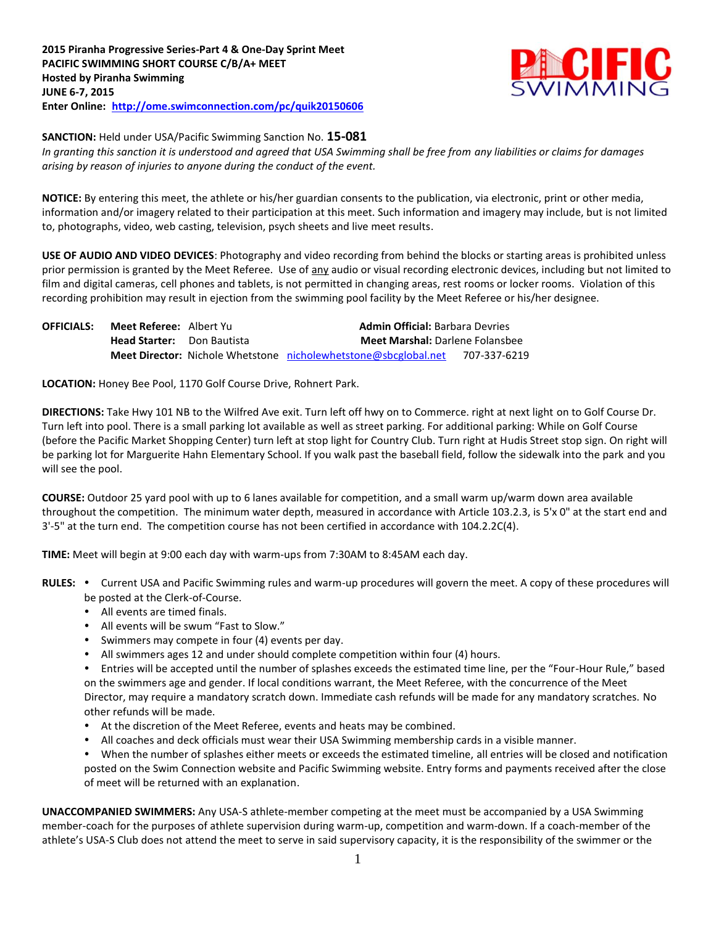

**SANCTION:** Held under USA/Pacific Swimming Sanction No. **15-081**

*In granting this sanction it is understood and agreed that USA Swimming shall be free from any liabilities or claims for damages arising by reason of injuries to anyone during the conduct of the event.*

**NOTICE:** By entering this meet, the athlete or his/her guardian consents to the publication, via electronic, print or other media, information and/or imagery related to their participation at this meet. Such information and imagery may include, but is not limited to, photographs, video, web casting, television, psych sheets and live meet results.

**USE OF AUDIO AND VIDEO DEVICES**: Photography and video recording from behind the blocks or starting areas is prohibited unless prior permission is granted by the Meet Referee. Use of any audio or visual recording electronic devices, including but not limited to film and digital cameras, cell phones and tablets, is not permitted in changing areas, rest rooms or locker rooms. Violation of this recording prohibition may result in ejection from the swimming pool facility by the Meet Referee or his/her designee.

| <b>OFFICIALS:</b> | <b>Meet Referee:</b> Albert Yu    | <b>Admin Official: Barbara Devries</b>                                 |              |  |  |  |  |  |
|-------------------|-----------------------------------|------------------------------------------------------------------------|--------------|--|--|--|--|--|
|                   | <b>Head Starter:</b> Don Bautista | <b>Meet Marshal:</b> Darlene Folansbee                                 |              |  |  |  |  |  |
|                   |                                   | <b>Meet Director:</b> Nichole Whetstone nicholewhetstone@sbcglobal.net | 707-337-6219 |  |  |  |  |  |

**LOCATION:** Honey Bee Pool, 1170 Golf Course Drive, Rohnert Park.

**DIRECTIONS:** Take Hwy 101 NB to the Wilfred Ave exit. Turn left off hwy on to Commerce. right at next light on to Golf Course Dr. Turn left into pool. There is a small parking lot available as well as street parking. For additional parking: While on Golf Course (before the Pacific Market Shopping Center) turn left at stop light for Country Club. Turn right at Hudis Street stop sign. On right will be parking lot for Marguerite Hahn Elementary School. If you walk past the baseball field, follow the sidewalk into the park and you will see the pool.

**COURSE:** Outdoor 25 yard pool with up to 6 lanes available for competition, and a small warm up/warm down area available throughout the competition. The minimum water depth, measured in accordance with Article 103.2.3, is 5'x 0" at the start end and 3'-5" at the turn end. The competition course has not been certified in accordance with 104.2.2C(4).

**TIME:** Meet will begin at 9:00 each day with warm-ups from 7:30AM to 8:45AM each day.

- RULES: . Current USA and Pacific Swimming rules and warm-up procedures will govern the meet. A copy of these procedures will be posted at the Clerk-of-Course.
	- All events are timed finals.
	- All events will be swum "Fast to Slow."
	- Swimmers may compete in four (4) events per day.
	- All swimmers ages 12 and under should complete competition within four (4) hours.

Entries will be accepted until the number of splashes exceeds the estimated time line, per the "Four-Hour Rule," based on the swimmers age and gender. If local conditions warrant, the Meet Referee, with the concurrence of the Meet Director, may require a mandatory scratch down. Immediate cash refunds will be made for any mandatory scratches. No other refunds will be made.

- At the discretion of the Meet Referee, events and heats may be combined.
- All coaches and deck officials must wear their USA Swimming membership cards in a visible manner.

When the number of splashes either meets or exceeds the estimated timeline, all entries will be closed and notification posted on the Swim Connection website and Pacific Swimming website. Entry forms and payments received after the close of meet will be returned with an explanation.

**UNACCOMPANIED SWIMMERS:** Any USA-S athlete-member competing at the meet must be accompanied by a USA Swimming member-coach for the purposes of athlete supervision during warm-up, competition and warm-down. If a coach-member of the athlete's USA-S Club does not attend the meet to serve in said supervisory capacity, it is the responsibility of the swimmer or the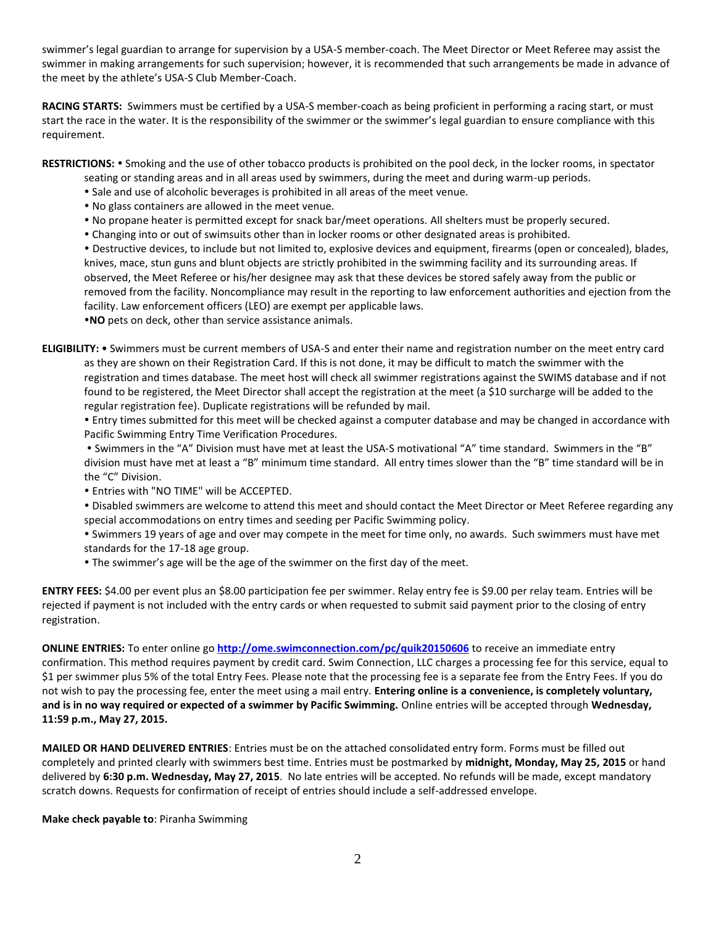swimmer's legal guardian to arrange for supervision by a USA-S member-coach. The Meet Director or Meet Referee may assist the swimmer in making arrangements for such supervision; however, it is recommended that such arrangements be made in advance of the meet by the athlete's USA-S Club Member-Coach.

**RACING STARTS:** Swimmers must be certified by a USA-S member-coach as being proficient in performing a racing start, or must start the race in the water. It is the responsibility of the swimmer or the swimmer's legal guardian to ensure compliance with this requirement.

RESTRICTIONS: • Smoking and the use of other tobacco products is prohibited on the pool deck, in the locker rooms, in spectator

- seating or standing areas and in all areas used by swimmers, during the meet and during warm-up periods.
- Sale and use of alcoholic beverages is prohibited in all areas of the meet venue.
- No glass containers are allowed in the meet venue.
- No propane heater is permitted except for snack bar/meet operations. All shelters must be properly secured.
- Changing into or out of swimsuits other than in locker rooms or other designated areas is prohibited.

 Destructive devices, to include but not limited to, explosive devices and equipment, firearms (open or concealed), blades, knives, mace, stun guns and blunt objects are strictly prohibited in the swimming facility and its surrounding areas. If observed, the Meet Referee or his/her designee may ask that these devices be stored safely away from the public or removed from the facility. Noncompliance may result in the reporting to law enforcement authorities and ejection from the facility. Law enforcement officers (LEO) are exempt per applicable laws.

**NO** pets on deck, other than service assistance animals.

**ELIGIBILITY:** Swimmers must be current members of USA-S and enter their name and registration number on the meet entry card as they are shown on their Registration Card. If this is not done, it may be difficult to match the swimmer with the registration and times database. The meet host will check all swimmer registrations against the SWIMS database and if not found to be registered, the Meet Director shall accept the registration at the meet (a \$10 surcharge will be added to the regular registration fee). Duplicate registrations will be refunded by mail.

 Entry times submitted for this meet will be checked against a computer database and may be changed in accordance with Pacific Swimming Entry Time Verification Procedures.

 Swimmers in the "A" Division must have met at least the USA-S motivational "A" time standard. Swimmers in the "B" division must have met at least a "B" minimum time standard. All entry times slower than the "B" time standard will be in the "C" Division.

Entries with "NO TIME" will be ACCEPTED.

 Disabled swimmers are welcome to attend this meet and should contact the Meet Director or Meet Referee regarding any special accommodations on entry times and seeding per Pacific Swimming policy.

 Swimmers 19 years of age and over may compete in the meet for time only, no awards. Such swimmers must have met standards for the 17-18 age group.

The swimmer's age will be the age of the swimmer on the first day of the meet.

**ENTRY FEES:** \$4.00 per event plus an \$8.00 participation fee per swimmer. Relay entry fee is \$9.00 per relay team. Entries will be rejected if payment is not included with the entry cards or when requested to submit said payment prior to the closing of entry registration.

**ONLINE ENTRIES:** To enter online go **<http://ome.swimconnection.com/pc/quik20150606>** to receive an immediate entry confirmation. This method requires payment by credit card. Swim Connection, LLC charges a processing fee for this service, equal to \$1 per swimmer plus 5% of the total Entry Fees. Please note that the processing fee is a separate fee from the Entry Fees. If you do not wish to pay the processing fee, enter the meet using a mail entry. **Entering online is a convenience, is completely voluntary, and is in no way required or expected of a swimmer by Pacific Swimming.** Online entries will be accepted through **Wednesday, 11:59 p.m., May 27, 2015.** 

**MAILED OR HAND DELIVERED ENTRIES**: Entries must be on the attached consolidated entry form. Forms must be filled out completely and printed clearly with swimmers best time. Entries must be postmarked by **midnight, Monday, May 25, 2015** or hand delivered by **6:30 p.m. Wednesday, May 27, 2015**. No late entries will be accepted. No refunds will be made, except mandatory scratch downs. Requests for confirmation of receipt of entries should include a self-addressed envelope.

**Make check payable to**: Piranha Swimming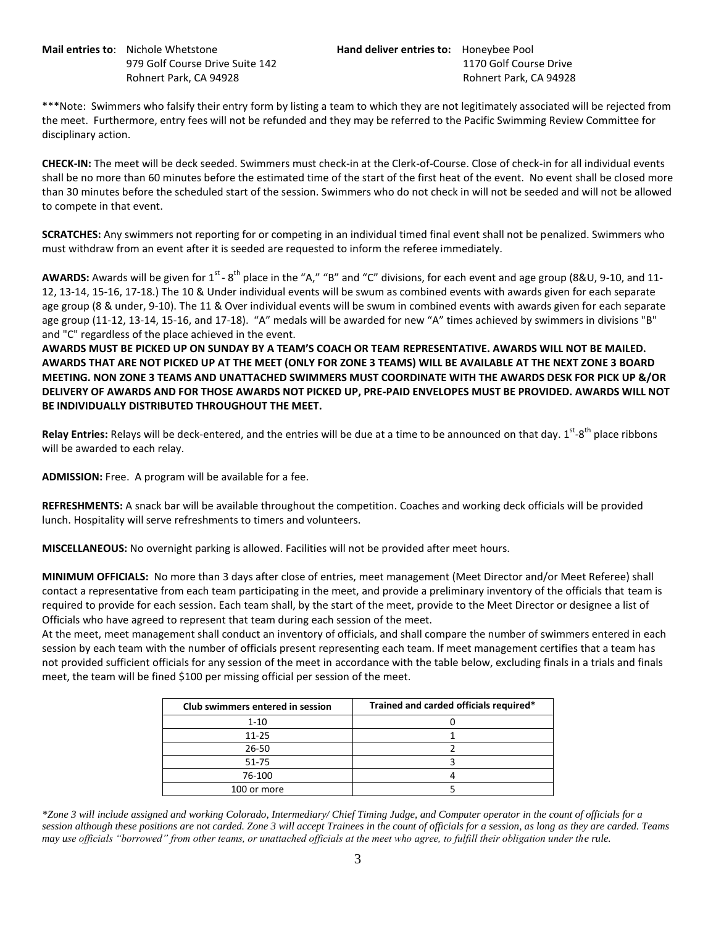**Mail entries to**: Nichole Whetstone **Hand deliver entries to:** Honeybee Pool

979 Golf Course Drive Suite 142 1170 Golf Course Drive Rohnert Park, CA 94928 **Rohnert Park, CA 94928** Rohnert Park, CA 94928

\*\*\*Note: Swimmers who falsify their entry form by listing a team to which they are not legitimately associated will be rejected from the meet. Furthermore, entry fees will not be refunded and they may be referred to the Pacific Swimming Review Committee for disciplinary action.

**CHECK-IN:** The meet will be deck seeded. Swimmers must check-in at the Clerk-of-Course. Close of check-in for all individual events shall be no more than 60 minutes before the estimated time of the start of the first heat of the event. No event shall be closed more than 30 minutes before the scheduled start of the session. Swimmers who do not check in will not be seeded and will not be allowed to compete in that event.

**SCRATCHES:** Any swimmers not reporting for or competing in an individual timed final event shall not be penalized. Swimmers who must withdraw from an event after it is seeded are requested to inform the referee immediately.

AWARDS: Awards will be given for 1<sup>st</sup> - 8<sup>th</sup> place in the "A," "B" and "C" divisions, for each event and age group (8&U, 9-10, and 11-12, 13-14, 15-16, 17-18.) The 10 & Under individual events will be swum as combined events with awards given for each separate age group (8 & under, 9-10). The 11 & Over individual events will be swum in combined events with awards given for each separate age group (11-12, 13-14, 15-16, and 17-18). "A" medals will be awarded for new "A" times achieved by swimmers in divisions "B" and "C" regardless of the place achieved in the event.

**AWARDS MUST BE PICKED UP ON SUNDAY BY A TEAM'S COACH OR TEAM REPRESENTATIVE. AWARDS WILL NOT BE MAILED. AWARDS THAT ARE NOT PICKED UP AT THE MEET (ONLY FOR ZONE 3 TEAMS) WILL BE AVAILABLE AT THE NEXT ZONE 3 BOARD MEETING. NON ZONE 3 TEAMS AND UNATTACHED SWIMMERS MUST COORDINATE WITH THE AWARDS DESK FOR PICK UP &/OR DELIVERY OF AWARDS AND FOR THOSE AWARDS NOT PICKED UP, PRE-PAID ENVELOPES MUST BE PROVIDED. AWARDS WILL NOT BE INDIVIDUALLY DISTRIBUTED THROUGHOUT THE MEET.**

Relay Entries: Relays will be deck-entered, and the entries will be due at a time to be announced on that day. 1<sup>st</sup>-8<sup>th</sup> place ribbons will be awarded to each relay.

**ADMISSION:** Free. A program will be available for a fee.

**REFRESHMENTS:** A snack bar will be available throughout the competition. Coaches and working deck officials will be provided lunch. Hospitality will serve refreshments to timers and volunteers.

**MISCELLANEOUS:** No overnight parking is allowed. Facilities will not be provided after meet hours.

**MINIMUM OFFICIALS:** No more than 3 days after close of entries, meet management (Meet Director and/or Meet Referee) shall contact a representative from each team participating in the meet, and provide a preliminary inventory of the officials that team is required to provide for each session. Each team shall, by the start of the meet, provide to the Meet Director or designee a list of Officials who have agreed to represent that team during each session of the meet.

At the meet, meet management shall conduct an inventory of officials, and shall compare the number of swimmers entered in each session by each team with the number of officials present representing each team. If meet management certifies that a team has not provided sufficient officials for any session of the meet in accordance with the table below, excluding finals in a trials and finals meet, the team will be fined \$100 per missing official per session of the meet.

| Club swimmers entered in session | Trained and carded officials required* |  |  |  |  |  |
|----------------------------------|----------------------------------------|--|--|--|--|--|
| $1 - 10$                         |                                        |  |  |  |  |  |
| $11 - 25$                        |                                        |  |  |  |  |  |
| $26 - 50$                        |                                        |  |  |  |  |  |
| $51 - 75$                        |                                        |  |  |  |  |  |
| 76-100                           |                                        |  |  |  |  |  |
| 100 or more                      |                                        |  |  |  |  |  |

*\*Zone 3 will include assigned and working Colorado, Intermediary/ Chief Timing Judge, and Computer operator in the count of officials for a session although these positions are not carded. Zone 3 will accept Trainees in the count of officials for a session, as long as they are carded. Teams may use officials "borrowed" from other teams, or unattached officials at the meet who agree, to fulfill their obligation under the rule.*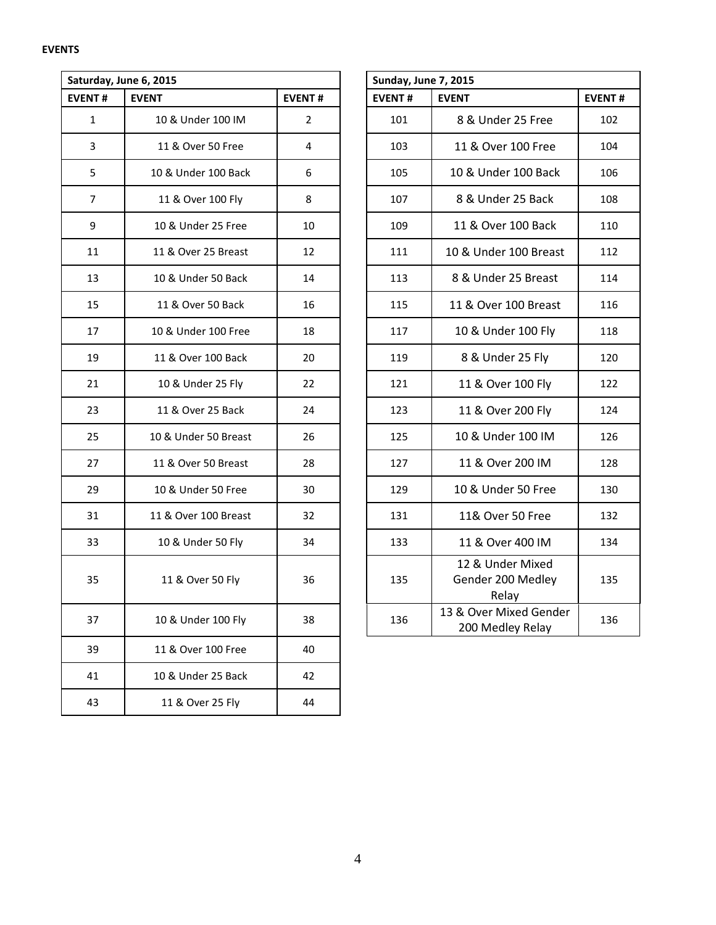|                | Saturday, June 6, 2015 |                |  | Sunday, June 7, 2015 |                                                |               |  |  |  |
|----------------|------------------------|----------------|--|----------------------|------------------------------------------------|---------------|--|--|--|
| <b>EVENT#</b>  | <b>EVENT</b>           | <b>EVENT#</b>  |  | <b>EVENT#</b>        | <b>EVENT</b>                                   | <b>EVENT#</b> |  |  |  |
| $\mathbf{1}$   | 10 & Under 100 IM      | $\overline{2}$ |  | 101                  | 8 & Under 25 Free                              | 102           |  |  |  |
| 3              | 11 & Over 50 Free      | 4              |  | 103                  | 11 & Over 100 Free                             | 104           |  |  |  |
| 5              | 10 & Under 100 Back    | 6              |  | 105                  | 10 & Under 100 Back                            | 106           |  |  |  |
| $\overline{7}$ | 11 & Over 100 Fly      | 8              |  | 107                  | 8 & Under 25 Back                              | 108           |  |  |  |
| 9              | 10 & Under 25 Free     | 10             |  | 109                  | 11 & Over 100 Back                             | 110           |  |  |  |
| 11             | 11 & Over 25 Breast    | 12             |  | 111                  | 10 & Under 100 Breast                          | 112           |  |  |  |
| 13             | 10 & Under 50 Back     | 14             |  | 113                  | 8 & Under 25 Breast                            | 114           |  |  |  |
| 15             | 11 & Over 50 Back      | 16             |  | 115                  | 11 & Over 100 Breast                           | 116           |  |  |  |
| 17             | 10 & Under 100 Free    | 18             |  | 117                  | 10 & Under 100 Fly                             | 118           |  |  |  |
| 19             | 11 & Over 100 Back     | 20             |  | 119                  | 8 & Under 25 Fly                               | 120           |  |  |  |
| 21             | 10 & Under 25 Fly      | 22             |  | 121                  | 11 & Over 100 Fly                              | 122           |  |  |  |
| 23             | 11 & Over 25 Back      | 24             |  | 123                  | 11 & Over 200 Fly                              | 124           |  |  |  |
| 25             | 10 & Under 50 Breast   | 26             |  | 125                  | 10 & Under 100 IM                              | 126           |  |  |  |
| 27             | 11 & Over 50 Breast    | 28             |  | 127                  | 11 & Over 200 IM                               | 128           |  |  |  |
| 29             | 10 & Under 50 Free     | 30             |  | 129                  | 10 & Under 50 Free                             | 130           |  |  |  |
| 31             | 11 & Over 100 Breast   | 32             |  | 131                  | 11& Over 50 Free                               | 132           |  |  |  |
| 33             | 10 & Under 50 Fly      | 34             |  | 133                  | 11 & Over 400 IM                               | 134           |  |  |  |
| 35             | 11 & Over 50 Fly       | 36             |  | 135                  | 12 & Under Mixed<br>Gender 200 Medley<br>Relay | 135           |  |  |  |
| 37             | 10 & Under 100 Fly     | 38             |  | 136                  | 13 & Over Mixed Gender<br>200 Medley Relay     | 136           |  |  |  |
| 39             | 11 & Over 100 Free     | 40             |  |                      |                                                |               |  |  |  |
| 41             | 10 & Under 25 Back     | 42             |  |                      |                                                |               |  |  |  |
| 43             | 11 & Over 25 Fly       | 44             |  |                      |                                                |               |  |  |  |

|              | ırday, June 6, 2015  |                |
|--------------|----------------------|----------------|
| NT#          | <b>EVENT</b>         | <b>EVENT#</b>  |
|              | 10 & Under 100 IM    | $\overline{2}$ |
| $\mathbf{3}$ | 11 & Over 50 Free    | 4              |
|              | 10 & Under 100 Back  | 6              |
|              | 11 & Over 100 Fly    | 8              |
|              | 10 & Under 25 Free   | 10             |
|              | 11 & Over 25 Breast  | 12             |
|              | 10 & Under 50 Back   | 14             |
|              | 11 & Over 50 Back    | 16             |
|              | 10 & Under 100 Free  | 18             |
|              | 11 & Over 100 Back   | 20             |
|              | 10 & Under 25 Fly    | 22             |
|              | 11 & Over 25 Back    | 24             |
|              | 10 & Under 50 Breast | 26             |
|              | 11 & Over 50 Breast  | 28             |
|              | 10 & Under 50 Free   | 30             |
|              | 11 & Over 100 Breast | 32             |
|              | 10 & Under 50 Fly    | 34             |
|              | 11 & Over 50 Fly     | 36             |
|              | 10 & Under 100 Fly   | 38             |
|              |                      |                |